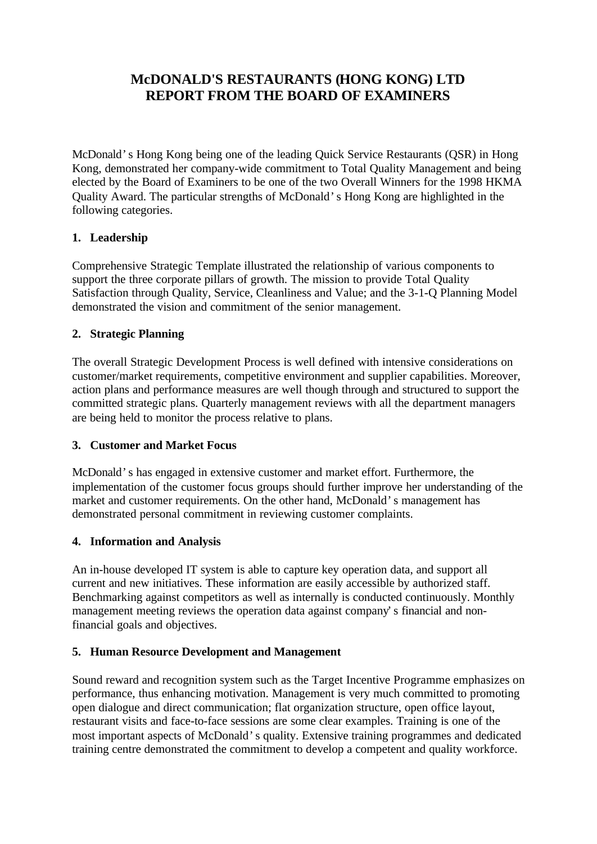# **McDONALD'S RESTAURANTS (HONG KONG) LTD REPORT FROM THE BOARD OF EXAMINERS**

McDonald's Hong Kong being one of the leading Quick Service Restaurants (QSR) in Hong Kong, demonstrated her company-wide commitment to Total Quality Management and being elected by the Board of Examiners to be one of the two Overall Winners for the 1998 HKMA Quality Award. The particular strengths of McDonald's Hong Kong are highlighted in the following categories.

# **1. Leadership**

Comprehensive Strategic Template illustrated the relationship of various components to support the three corporate pillars of growth. The mission to provide Total Quality Satisfaction through Quality, Service, Cleanliness and Value; and the 3-1-Q Planning Model demonstrated the vision and commitment of the senior management.

# **2. Strategic Planning**

The overall Strategic Development Process is well defined with intensive considerations on customer/market requirements, competitive environment and supplier capabilities. Moreover, action plans and performance measures are well though through and structured to support the committed strategic plans. Quarterly management reviews with all the department managers are being held to monitor the process relative to plans.

### **3. Customer and Market Focus**

McDonald's has engaged in extensive customer and market effort. Furthermore, the implementation of the customer focus groups should further improve her understanding of the market and customer requirements. On the other hand, McDonald's management has demonstrated personal commitment in reviewing customer complaints.

### **4. Information and Analysis**

An in-house developed IT system is able to capture key operation data, and support all current and new initiatives. These information are easily accessible by authorized staff. Benchmarking against competitors as well as internally is conducted continuously. Monthly management meeting reviews the operation data against company's financial and nonfinancial goals and objectives.

#### **5. Human Resource Development and Management**

Sound reward and recognition system such as the Target Incentive Programme emphasizes on performance, thus enhancing motivation. Management is very much committed to promoting open dialogue and direct communication; flat organization structure, open office layout, restaurant visits and face-to-face sessions are some clear examples. Training is one of the most important aspects of McDonald's quality. Extensive training programmes and dedicated training centre demonstrated the commitment to develop a competent and quality workforce.